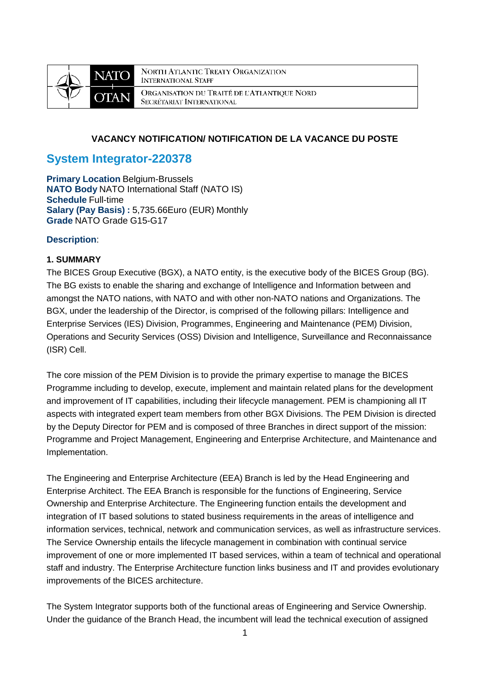

**NORTH ATLANTIC TREATY ORGANIZATION INTERNATIONAL STAFF** ORGANISATION DU TRAITÉ DE L'ATLANTIQUE NORD SECRÉTARIAT INTERNATIONAL

# **VACANCY NOTIFICATION/ NOTIFICATION DE LA VACANCE DU POSTE**

# **System Integrator-220378**

**Primary Location** Belgium-Brussels **NATO Body** NATO International Staff (NATO IS) **Schedule** Full-time **Salary (Pay Basis) :** 5,735.66Euro (EUR) Monthly **Grade** NATO Grade G15-G17

## **Description**:

## **1. SUMMARY**

The BICES Group Executive (BGX), a NATO entity, is the executive body of the BICES Group (BG). The BG exists to enable the sharing and exchange of Intelligence and Information between and amongst the NATO nations, with NATO and with other non-NATO nations and Organizations. The BGX, under the leadership of the Director, is comprised of the following pillars: Intelligence and Enterprise Services (IES) Division, Programmes, Engineering and Maintenance (PEM) Division, Operations and Security Services (OSS) Division and Intelligence, Surveillance and Reconnaissance (ISR) Cell.

The core mission of the PEM Division is to provide the primary expertise to manage the BICES Programme including to develop, execute, implement and maintain related plans for the development and improvement of IT capabilities, including their lifecycle management. PEM is championing all IT aspects with integrated expert team members from other BGX Divisions. The PEM Division is directed by the Deputy Director for PEM and is composed of three Branches in direct support of the mission: Programme and Project Management, Engineering and Enterprise Architecture, and Maintenance and Implementation.

The Engineering and Enterprise Architecture (EEA) Branch is led by the Head Engineering and Enterprise Architect. The EEA Branch is responsible for the functions of Engineering, Service Ownership and Enterprise Architecture. The Engineering function entails the development and integration of IT based solutions to stated business requirements in the areas of intelligence and information services, technical, network and communication services, as well as infrastructure services. The Service Ownership entails the lifecycle management in combination with continual service improvement of one or more implemented IT based services, within a team of technical and operational staff and industry. The Enterprise Architecture function links business and IT and provides evolutionary improvements of the BICES architecture.

The System Integrator supports both of the functional areas of Engineering and Service Ownership. Under the guidance of the Branch Head, the incumbent will lead the technical execution of assigned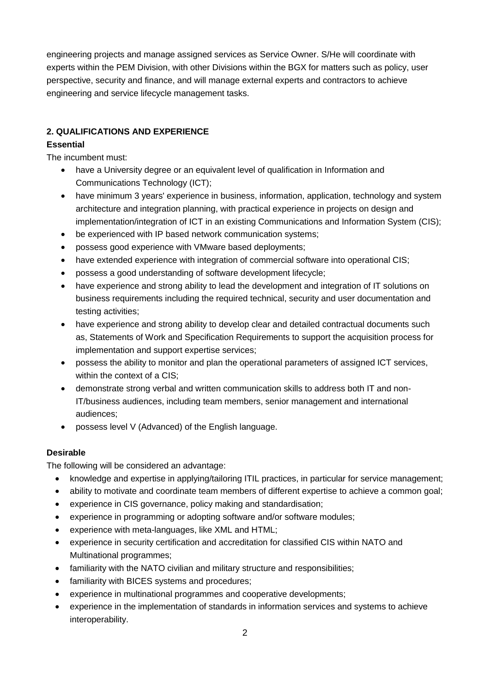engineering projects and manage assigned services as Service Owner. S/He will coordinate with experts within the PEM Division, with other Divisions within the BGX for matters such as policy, user perspective, security and finance, and will manage external experts and contractors to achieve engineering and service lifecycle management tasks.

# **2. QUALIFICATIONS AND EXPERIENCE**

# **Essential**

The incumbent must:

- have a University degree or an equivalent level of qualification in Information and Communications Technology (ICT);
- have minimum 3 years' experience in business, information, application, technology and system architecture and integration planning, with practical experience in projects on design and implementation/integration of ICT in an existing Communications and Information System (CIS);
- be experienced with IP based network communication systems;
- possess good experience with VMware based deployments;
- have extended experience with integration of commercial software into operational CIS;
- possess a good understanding of software development lifecycle;
- have experience and strong ability to lead the development and integration of IT solutions on business requirements including the required technical, security and user documentation and testing activities;
- have experience and strong ability to develop clear and detailed contractual documents such as, Statements of Work and Specification Requirements to support the acquisition process for implementation and support expertise services;
- possess the ability to monitor and plan the operational parameters of assigned ICT services, within the context of a CIS;
- demonstrate strong verbal and written communication skills to address both IT and non-IT/business audiences, including team members, senior management and international audiences;
- possess level V (Advanced) of the English language.

# **Desirable**

The following will be considered an advantage:

- knowledge and expertise in applying/tailoring ITIL practices, in particular for service management;
- ability to motivate and coordinate team members of different expertise to achieve a common goal;
- experience in CIS governance, policy making and standardisation;
- experience in programming or adopting software and/or software modules;
- experience with meta-languages, like XML and HTML;
- experience in security certification and accreditation for classified CIS within NATO and Multinational programmes;
- familiarity with the NATO civilian and military structure and responsibilities;
- familiarity with BICES systems and procedures;
- experience in multinational programmes and cooperative developments;
- experience in the implementation of standards in information services and systems to achieve interoperability.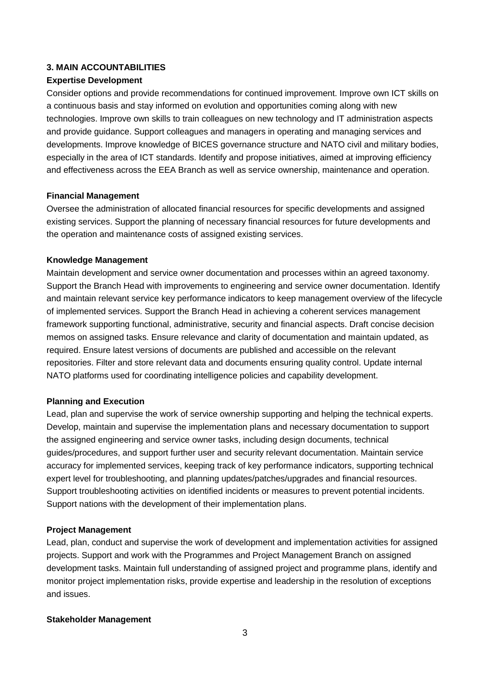## **3. MAIN ACCOUNTABILITIES**

#### **Expertise Development**

Consider options and provide recommendations for continued improvement. Improve own ICT skills on a continuous basis and stay informed on evolution and opportunities coming along with new technologies. Improve own skills to train colleagues on new technology and IT administration aspects and provide guidance. Support colleagues and managers in operating and managing services and developments. Improve knowledge of BICES governance structure and NATO civil and military bodies, especially in the area of ICT standards. Identify and propose initiatives, aimed at improving efficiency and effectiveness across the EEA Branch as well as service ownership, maintenance and operation.

#### **Financial Management**

Oversee the administration of allocated financial resources for specific developments and assigned existing services. Support the planning of necessary financial resources for future developments and the operation and maintenance costs of assigned existing services.

#### **Knowledge Management**

Maintain development and service owner documentation and processes within an agreed taxonomy. Support the Branch Head with improvements to engineering and service owner documentation. Identify and maintain relevant service key performance indicators to keep management overview of the lifecycle of implemented services. Support the Branch Head in achieving a coherent services management framework supporting functional, administrative, security and financial aspects. Draft concise decision memos on assigned tasks. Ensure relevance and clarity of documentation and maintain updated, as required. Ensure latest versions of documents are published and accessible on the relevant repositories. Filter and store relevant data and documents ensuring quality control. Update internal NATO platforms used for coordinating intelligence policies and capability development.

#### **Planning and Execution**

Lead, plan and supervise the work of service ownership supporting and helping the technical experts. Develop, maintain and supervise the implementation plans and necessary documentation to support the assigned engineering and service owner tasks, including design documents, technical guides/procedures, and support further user and security relevant documentation. Maintain service accuracy for implemented services, keeping track of key performance indicators, supporting technical expert level for troubleshooting, and planning updates/patches/upgrades and financial resources. Support troubleshooting activities on identified incidents or measures to prevent potential incidents. Support nations with the development of their implementation plans.

#### **Project Management**

Lead, plan, conduct and supervise the work of development and implementation activities for assigned projects. Support and work with the Programmes and Project Management Branch on assigned development tasks. Maintain full understanding of assigned project and programme plans, identify and monitor project implementation risks, provide expertise and leadership in the resolution of exceptions and issues.

### **Stakeholder Management**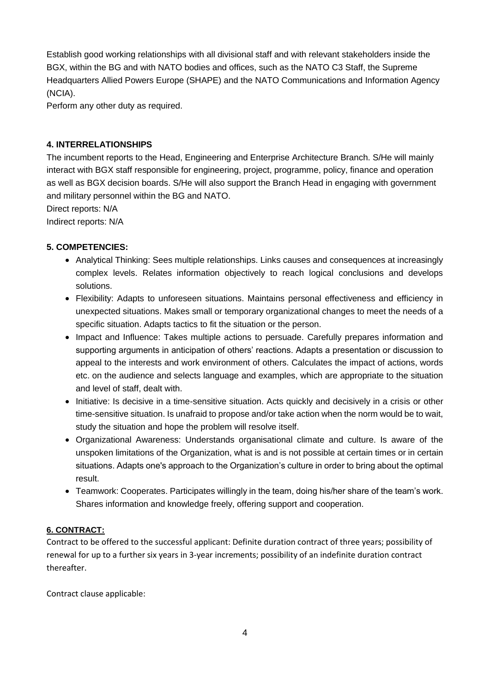Establish good working relationships with all divisional staff and with relevant stakeholders inside the BGX, within the BG and with NATO bodies and offices, such as the NATO C3 Staff, the Supreme Headquarters Allied Powers Europe (SHAPE) and the NATO Communications and Information Agency (NCIA).

Perform any other duty as required.

# **4. INTERRELATIONSHIPS**

The incumbent reports to the Head, Engineering and Enterprise Architecture Branch. S/He will mainly interact with BGX staff responsible for engineering, project, programme, policy, finance and operation as well as BGX decision boards. S/He will also support the Branch Head in engaging with government and military personnel within the BG and NATO.

Direct reports: N/A

Indirect reports: N/A

## **5. COMPETENCIES:**

- Analytical Thinking: Sees multiple relationships. Links causes and consequences at increasingly complex levels. Relates information objectively to reach logical conclusions and develops solutions.
- Flexibility: Adapts to unforeseen situations. Maintains personal effectiveness and efficiency in unexpected situations. Makes small or temporary organizational changes to meet the needs of a specific situation. Adapts tactics to fit the situation or the person.
- Impact and Influence: Takes multiple actions to persuade. Carefully prepares information and supporting arguments in anticipation of others' reactions. Adapts a presentation or discussion to appeal to the interests and work environment of others. Calculates the impact of actions, words etc. on the audience and selects language and examples, which are appropriate to the situation and level of staff, dealt with.
- Initiative: Is decisive in a time-sensitive situation. Acts quickly and decisively in a crisis or other time-sensitive situation. Is unafraid to propose and/or take action when the norm would be to wait, study the situation and hope the problem will resolve itself.
- Organizational Awareness: Understands organisational climate and culture. Is aware of the unspoken limitations of the Organization, what is and is not possible at certain times or in certain situations. Adapts one's approach to the Organization's culture in order to bring about the optimal result.
- Teamwork: Cooperates. Participates willingly in the team, doing his/her share of the team's work. Shares information and knowledge freely, offering support and cooperation.

## **6. CONTRACT:**

Contract to be offered to the successful applicant: Definite duration contract of three years; possibility of renewal for up to a further six years in 3-year increments; possibility of an indefinite duration contract thereafter.

Contract clause applicable: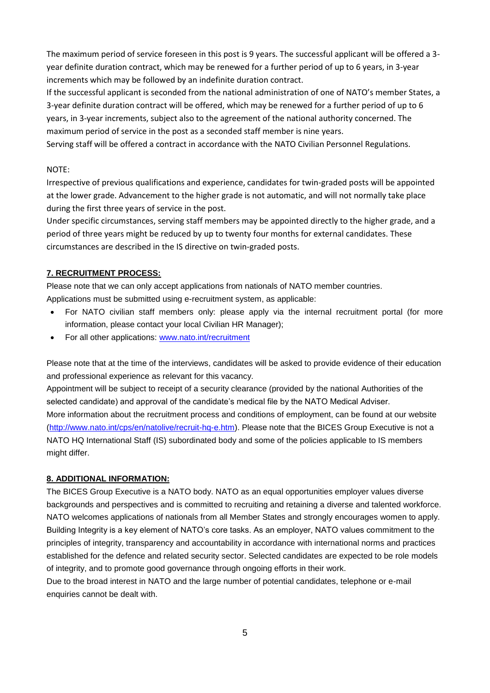The maximum period of service foreseen in this post is 9 years. The successful applicant will be offered a 3 year definite duration contract, which may be renewed for a further period of up to 6 years, in 3-year increments which may be followed by an indefinite duration contract.

If the successful applicant is seconded from the national administration of one of NATO's member States, a 3-year definite duration contract will be offered, which may be renewed for a further period of up to 6 years, in 3-year increments, subject also to the agreement of the national authority concerned. The maximum period of service in the post as a seconded staff member is nine years.

Serving staff will be offered a contract in accordance with the NATO Civilian Personnel Regulations.

## NOTE:

Irrespective of previous qualifications and experience, candidates for twin-graded posts will be appointed at the lower grade. Advancement to the higher grade is not automatic, and will not normally take place during the first three years of service in the post.

Under specific circumstances, serving staff members may be appointed directly to the higher grade, and a period of three years might be reduced by up to twenty four months for external candidates. These circumstances are described in the IS directive on twin-graded posts.

# **7. RECRUITMENT PROCESS:**

Please note that we can only accept applications from nationals of NATO member countries. Applications must be submitted using e-recruitment system, as applicable:

- For NATO civilian staff members only: please apply via the internal recruitment portal (for more information, please contact your local Civilian HR Manager);
- For all other applications: www.nato.int/recruitment

Please note that at the time of the interviews, candidates will be asked to provide evidence of their education and professional experience as relevant for this vacancy.

Appointment will be subject to receipt of a security clearance (provided by the national Authorities of the selected candidate) and approval of the candidate's medical file by the NATO Medical Adviser. More information about the recruitment process and conditions of employment, can be found at our website [\(http://www.nato.int/cps/en/natolive/recruit-hq-e.htm\)](http://www.nato.int/cps/en/natolive/recruit-hq-e.htm). Please note that the BICES Group Executive is not a NATO HQ International Staff (IS) subordinated body and some of the policies applicable to IS members might differ.

## **8. ADDITIONAL INFORMATION:**

The BICES Group Executive is a NATO body. NATO as an equal opportunities employer values diverse backgrounds and perspectives and is committed to recruiting and retaining a diverse and talented workforce. NATO welcomes applications of nationals from all Member States and strongly encourages women to apply. Building Integrity is a key element of NATO's core tasks. As an employer, NATO values commitment to the principles of integrity, transparency and accountability in accordance with international norms and practices established for the defence and related security sector. Selected candidates are expected to be role models of integrity, and to promote good governance through ongoing efforts in their work.

Due to the broad interest in NATO and the large number of potential candidates, telephone or e-mail enquiries cannot be dealt with.